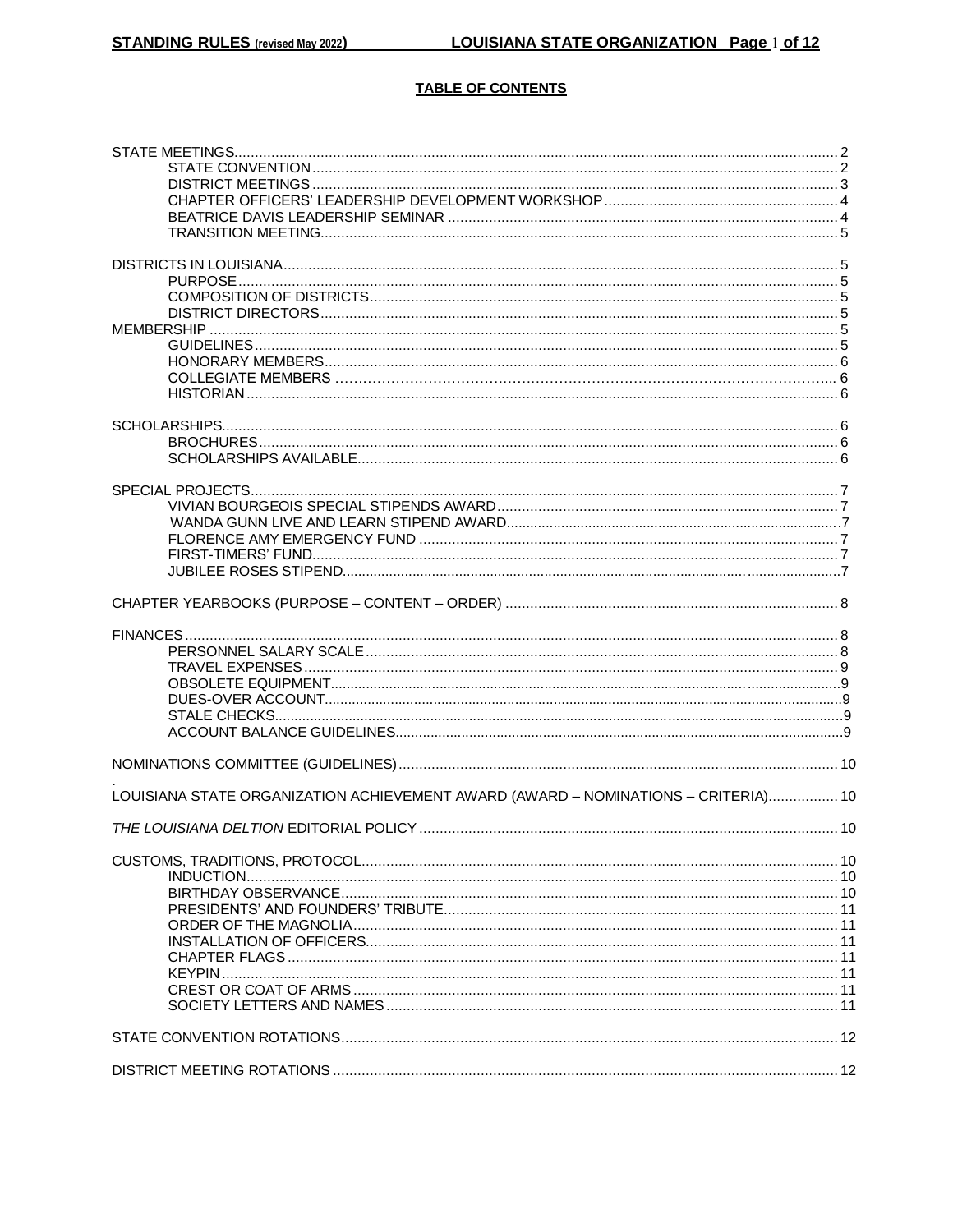### **TABLE OF CONTENTS**

| LOUISIANA STATE ORGANIZATION ACHIEVEMENT AWARD (AWARD - NOMINATIONS - CRITERIA) 10 |  |
|------------------------------------------------------------------------------------|--|
|                                                                                    |  |
|                                                                                    |  |
|                                                                                    |  |
|                                                                                    |  |
|                                                                                    |  |
|                                                                                    |  |
|                                                                                    |  |
|                                                                                    |  |
|                                                                                    |  |
|                                                                                    |  |
|                                                                                    |  |
|                                                                                    |  |
|                                                                                    |  |
|                                                                                    |  |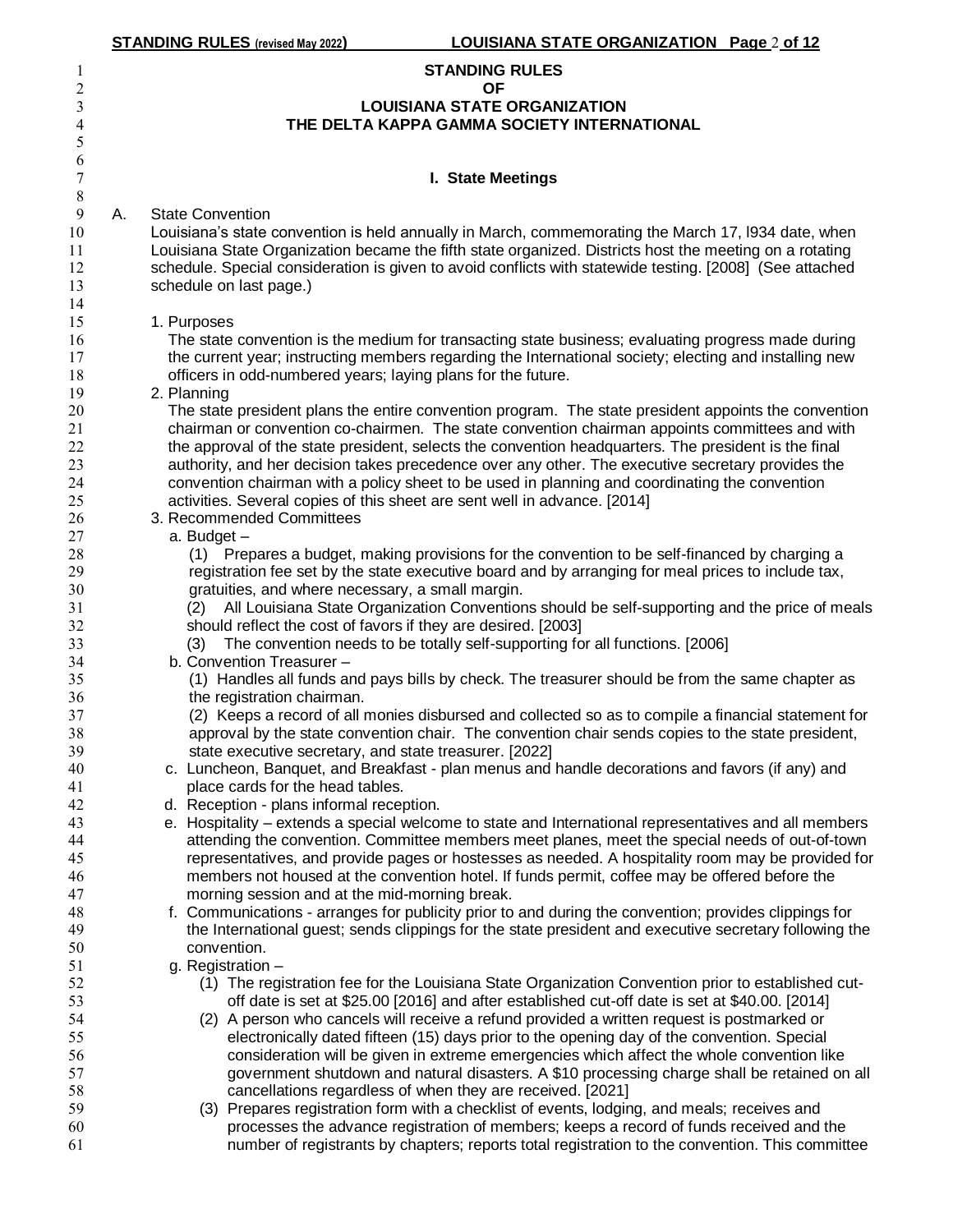|                               |    | <b>STANDING RULES</b> (revised May 2022)<br>LOUISIANA STATE ORGANIZATION Page 2 of 12                                                                                                                     |
|-------------------------------|----|-----------------------------------------------------------------------------------------------------------------------------------------------------------------------------------------------------------|
| 1                             |    | <b>STANDING RULES</b>                                                                                                                                                                                     |
| $\overline{c}$                |    | <b>OF</b>                                                                                                                                                                                                 |
| 3                             |    | <b>LOUISIANA STATE ORGANIZATION</b>                                                                                                                                                                       |
| $\overline{\mathcal{A}}$<br>5 |    | THE DELTA KAPPA GAMMA SOCIETY INTERNATIONAL                                                                                                                                                               |
| 6                             |    |                                                                                                                                                                                                           |
| $\boldsymbol{7}$              |    | I. State Meetings                                                                                                                                                                                         |
| $\,$ $\,$                     |    |                                                                                                                                                                                                           |
| 9                             | А. | <b>State Convention</b>                                                                                                                                                                                   |
| 10                            |    | Louisiana's state convention is held annually in March, commemorating the March 17, I934 date, when                                                                                                       |
| 11                            |    | Louisiana State Organization became the fifth state organized. Districts host the meeting on a rotating                                                                                                   |
| 12                            |    | schedule. Special consideration is given to avoid conflicts with statewide testing. [2008] (See attached                                                                                                  |
| 13<br>14                      |    | schedule on last page.)                                                                                                                                                                                   |
| 15                            |    | 1. Purposes                                                                                                                                                                                               |
| 16                            |    | The state convention is the medium for transacting state business; evaluating progress made during                                                                                                        |
| 17                            |    | the current year; instructing members regarding the International society; electing and installing new                                                                                                    |
| 18                            |    | officers in odd-numbered years; laying plans for the future.                                                                                                                                              |
| 19                            |    | 2. Planning                                                                                                                                                                                               |
| 20                            |    | The state president plans the entire convention program. The state president appoints the convention                                                                                                      |
| 21                            |    | chairman or convention co-chairmen. The state convention chairman appoints committees and with                                                                                                            |
| 22<br>23                      |    | the approval of the state president, selects the convention headquarters. The president is the final<br>authority, and her decision takes precedence over any other. The executive secretary provides the |
| 24                            |    | convention chairman with a policy sheet to be used in planning and coordinating the convention                                                                                                            |
| 25                            |    | activities. Several copies of this sheet are sent well in advance. [2014]                                                                                                                                 |
| 26                            |    | 3. Recommended Committees                                                                                                                                                                                 |
| 27                            |    | a. Budget -                                                                                                                                                                                               |
| 28                            |    | (1) Prepares a budget, making provisions for the convention to be self-financed by charging a                                                                                                             |
| 29                            |    | registration fee set by the state executive board and by arranging for meal prices to include tax,                                                                                                        |
| 30<br>31                      |    | gratuities, and where necessary, a small margin.<br>All Louisiana State Organization Conventions should be self-supporting and the price of meals<br>(2)                                                  |
| 32                            |    | should reflect the cost of favors if they are desired. [2003]                                                                                                                                             |
| 33                            |    | The convention needs to be totally self-supporting for all functions. [2006]<br>(3)                                                                                                                       |
| 34                            |    | b. Convention Treasurer -                                                                                                                                                                                 |
| 35                            |    | (1) Handles all funds and pays bills by check. The treasurer should be from the same chapter as                                                                                                           |
| 36                            |    | the registration chairman.                                                                                                                                                                                |
| 37                            |    | (2) Keeps a record of all monies disbursed and collected so as to compile a financial statement for                                                                                                       |
| 38<br>39                      |    | approval by the state convention chair. The convention chair sends copies to the state president,<br>state executive secretary, and state treasurer. [2022]                                               |
| 40                            |    | c. Luncheon, Banquet, and Breakfast - plan menus and handle decorations and favors (if any) and                                                                                                           |
| 41                            |    | place cards for the head tables.                                                                                                                                                                          |
| 42                            |    | d. Reception - plans informal reception.                                                                                                                                                                  |
| 43                            |    | e. Hospitality – extends a special welcome to state and International representatives and all members                                                                                                     |
| 44                            |    | attending the convention. Committee members meet planes, meet the special needs of out-of-town                                                                                                            |
| 45<br>46                      |    | representatives, and provide pages or hostesses as needed. A hospitality room may be provided for                                                                                                         |
| 47                            |    | members not housed at the convention hotel. If funds permit, coffee may be offered before the<br>morning session and at the mid-morning break.                                                            |
| 48                            |    | f. Communications - arranges for publicity prior to and during the convention; provides clippings for                                                                                                     |
| 49                            |    | the International guest; sends clippings for the state president and executive secretary following the                                                                                                    |
| 50                            |    | convention.                                                                                                                                                                                               |
| 51                            |    | g. Registration -                                                                                                                                                                                         |
| 52                            |    | (1) The registration fee for the Louisiana State Organization Convention prior to established cut-                                                                                                        |
| 53<br>54                      |    | off date is set at \$25.00 [2016] and after established cut-off date is set at \$40.00. [2014]<br>(2) A person who cancels will receive a refund provided a written request is postmarked or              |
| 55                            |    | electronically dated fifteen (15) days prior to the opening day of the convention. Special                                                                                                                |
| 56                            |    | consideration will be given in extreme emergencies which affect the whole convention like                                                                                                                 |
| 57                            |    | government shutdown and natural disasters. A \$10 processing charge shall be retained on all                                                                                                              |
| 58                            |    | cancellations regardless of when they are received. [2021]                                                                                                                                                |
| 59                            |    | (3) Prepares registration form with a checklist of events, lodging, and meals; receives and                                                                                                               |
| 60                            |    | processes the advance registration of members; keeps a record of funds received and the                                                                                                                   |
| 61                            |    | number of registrants by chapters; reports total registration to the convention. This committee                                                                                                           |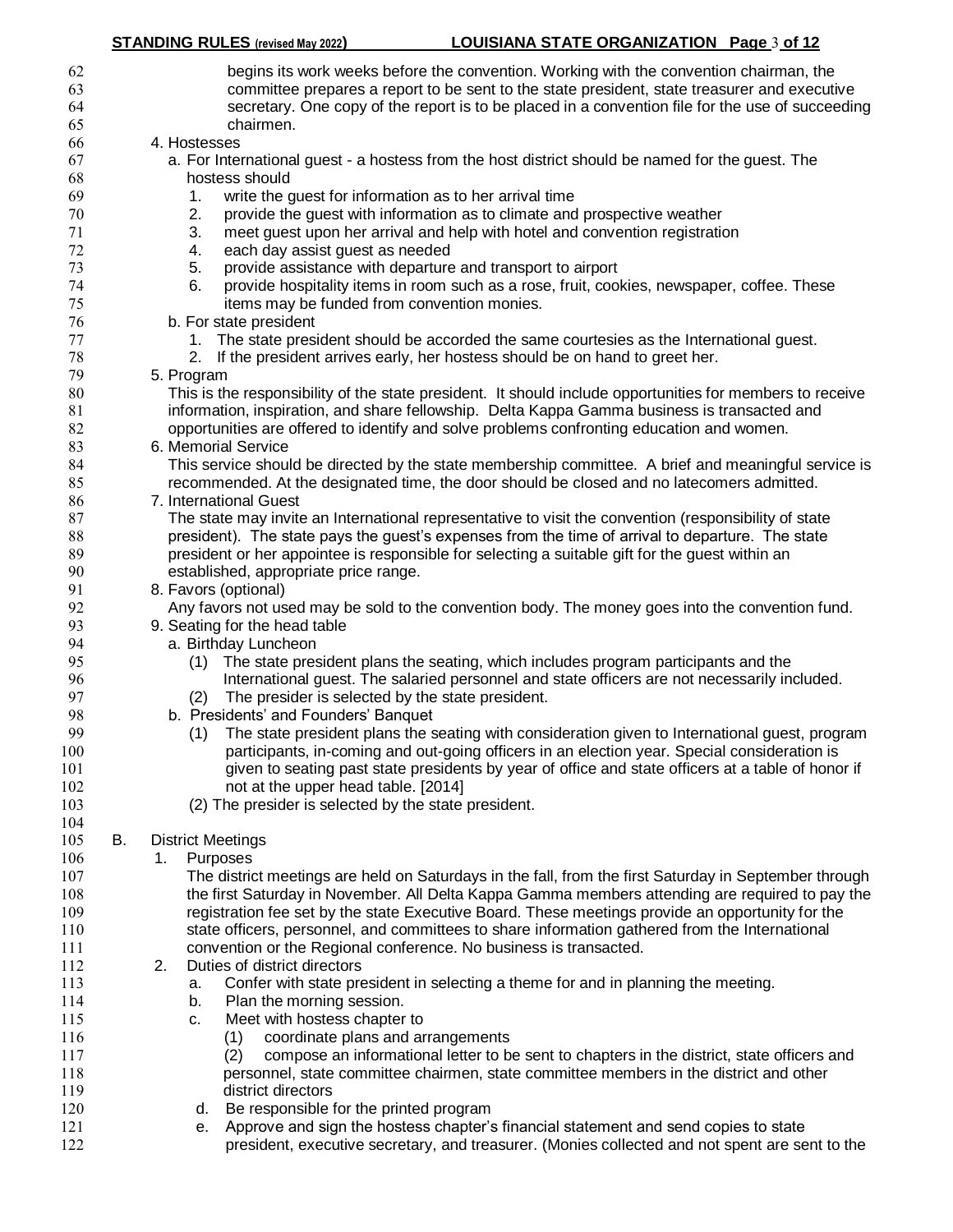| 62<br>63<br>64<br>65 |    | begins its work weeks before the convention. Working with the convention chairman, the<br>committee prepares a report to be sent to the state president, state treasurer and executive<br>secretary. One copy of the report is to be placed in a convention file for the use of succeeding<br>chairmen. |
|----------------------|----|---------------------------------------------------------------------------------------------------------------------------------------------------------------------------------------------------------------------------------------------------------------------------------------------------------|
| 66                   |    | 4. Hostesses                                                                                                                                                                                                                                                                                            |
| 67                   |    | a. For International guest - a hostess from the host district should be named for the guest. The                                                                                                                                                                                                        |
| 68                   |    | hostess should                                                                                                                                                                                                                                                                                          |
|                      |    |                                                                                                                                                                                                                                                                                                         |
| 69                   |    | write the guest for information as to her arrival time<br>1.                                                                                                                                                                                                                                            |
| 70                   |    | 2.<br>provide the guest with information as to climate and prospective weather                                                                                                                                                                                                                          |
| 71                   |    | 3.<br>meet guest upon her arrival and help with hotel and convention registration                                                                                                                                                                                                                       |
| 72                   |    | each day assist guest as needed<br>4.                                                                                                                                                                                                                                                                   |
| 73                   |    | 5.<br>provide assistance with departure and transport to airport                                                                                                                                                                                                                                        |
| 74                   |    | 6.<br>provide hospitality items in room such as a rose, fruit, cookies, newspaper, coffee. These                                                                                                                                                                                                        |
| 75                   |    | items may be funded from convention monies.                                                                                                                                                                                                                                                             |
| 76                   |    | b. For state president                                                                                                                                                                                                                                                                                  |
| 77                   |    | The state president should be accorded the same courtesies as the International guest.<br>1.                                                                                                                                                                                                            |
| 78                   |    | 2. If the president arrives early, her hostess should be on hand to greet her.                                                                                                                                                                                                                          |
| 79                   |    | 5. Program                                                                                                                                                                                                                                                                                              |
| 80                   |    | This is the responsibility of the state president. It should include opportunities for members to receive                                                                                                                                                                                               |
| 81                   |    | information, inspiration, and share fellowship. Delta Kappa Gamma business is transacted and                                                                                                                                                                                                            |
| 82                   |    | opportunities are offered to identify and solve problems confronting education and women.                                                                                                                                                                                                               |
| 83                   |    | 6. Memorial Service                                                                                                                                                                                                                                                                                     |
| 84                   |    | This service should be directed by the state membership committee. A brief and meaningful service is                                                                                                                                                                                                    |
|                      |    |                                                                                                                                                                                                                                                                                                         |
| 85                   |    | recommended. At the designated time, the door should be closed and no latecomers admitted.                                                                                                                                                                                                              |
| 86                   |    | 7. International Guest                                                                                                                                                                                                                                                                                  |
| 87                   |    | The state may invite an International representative to visit the convention (responsibility of state                                                                                                                                                                                                   |
| 88                   |    | president). The state pays the guest's expenses from the time of arrival to departure. The state                                                                                                                                                                                                        |
| 89                   |    | president or her appointee is responsible for selecting a suitable gift for the guest within an                                                                                                                                                                                                         |
| 90                   |    | established, appropriate price range.                                                                                                                                                                                                                                                                   |
| 91                   |    | 8. Favors (optional)                                                                                                                                                                                                                                                                                    |
| 92                   |    | Any favors not used may be sold to the convention body. The money goes into the convention fund.                                                                                                                                                                                                        |
| 93                   |    | 9. Seating for the head table                                                                                                                                                                                                                                                                           |
| 94                   |    | a. Birthday Luncheon                                                                                                                                                                                                                                                                                    |
| 95                   |    | The state president plans the seating, which includes program participants and the<br>(1)                                                                                                                                                                                                               |
| 96                   |    | International guest. The salaried personnel and state officers are not necessarily included.                                                                                                                                                                                                            |
| 97                   |    | The presider is selected by the state president.<br>(2)                                                                                                                                                                                                                                                 |
| 98                   |    | b. Presidents' and Founders' Banquet                                                                                                                                                                                                                                                                    |
| 99                   |    | The state president plans the seating with consideration given to International guest, program<br>(1)                                                                                                                                                                                                   |
| 100                  |    | participants, in-coming and out-going officers in an election year. Special consideration is                                                                                                                                                                                                            |
| 101                  |    | given to seating past state presidents by year of office and state officers at a table of honor if                                                                                                                                                                                                      |
| 102                  |    | not at the upper head table. [2014]                                                                                                                                                                                                                                                                     |
| 103                  |    | (2) The presider is selected by the state president.                                                                                                                                                                                                                                                    |
| 104                  |    |                                                                                                                                                                                                                                                                                                         |
| 105                  | В. | <b>District Meetings</b>                                                                                                                                                                                                                                                                                |
| 106                  |    | Purposes<br>1.                                                                                                                                                                                                                                                                                          |
| 107                  |    | The district meetings are held on Saturdays in the fall, from the first Saturday in September through                                                                                                                                                                                                   |
| 108                  |    | the first Saturday in November. All Delta Kappa Gamma members attending are required to pay the                                                                                                                                                                                                         |
| 109                  |    | registration fee set by the state Executive Board. These meetings provide an opportunity for the                                                                                                                                                                                                        |
|                      |    | state officers, personnel, and committees to share information gathered from the International                                                                                                                                                                                                          |
| 110                  |    |                                                                                                                                                                                                                                                                                                         |
| 111                  |    | convention or the Regional conference. No business is transacted.                                                                                                                                                                                                                                       |
| 112                  |    | Duties of district directors<br>2.                                                                                                                                                                                                                                                                      |
| 113                  |    | Confer with state president in selecting a theme for and in planning the meeting.<br>а.                                                                                                                                                                                                                 |
| 114                  |    | Plan the morning session.<br>b.                                                                                                                                                                                                                                                                         |
| 115                  |    | Meet with hostess chapter to<br>c.                                                                                                                                                                                                                                                                      |
| 116                  |    | coordinate plans and arrangements<br>(1)                                                                                                                                                                                                                                                                |
| 117                  |    | compose an informational letter to be sent to chapters in the district, state officers and<br>(2)                                                                                                                                                                                                       |
| 118                  |    | personnel, state committee chairmen, state committee members in the district and other                                                                                                                                                                                                                  |
| 119                  |    | district directors                                                                                                                                                                                                                                                                                      |
| 120                  |    | d. Be responsible for the printed program                                                                                                                                                                                                                                                               |
| 121                  |    | Approve and sign the hostess chapter's financial statement and send copies to state<br>е.                                                                                                                                                                                                               |
| 122                  |    | president, executive secretary, and treasurer. (Monies collected and not spent are sent to the                                                                                                                                                                                                          |
|                      |    |                                                                                                                                                                                                                                                                                                         |

**STANDING RULES (revised May 2022) LOUISIANA STATE ORGANIZATION Page** 3 **of 12**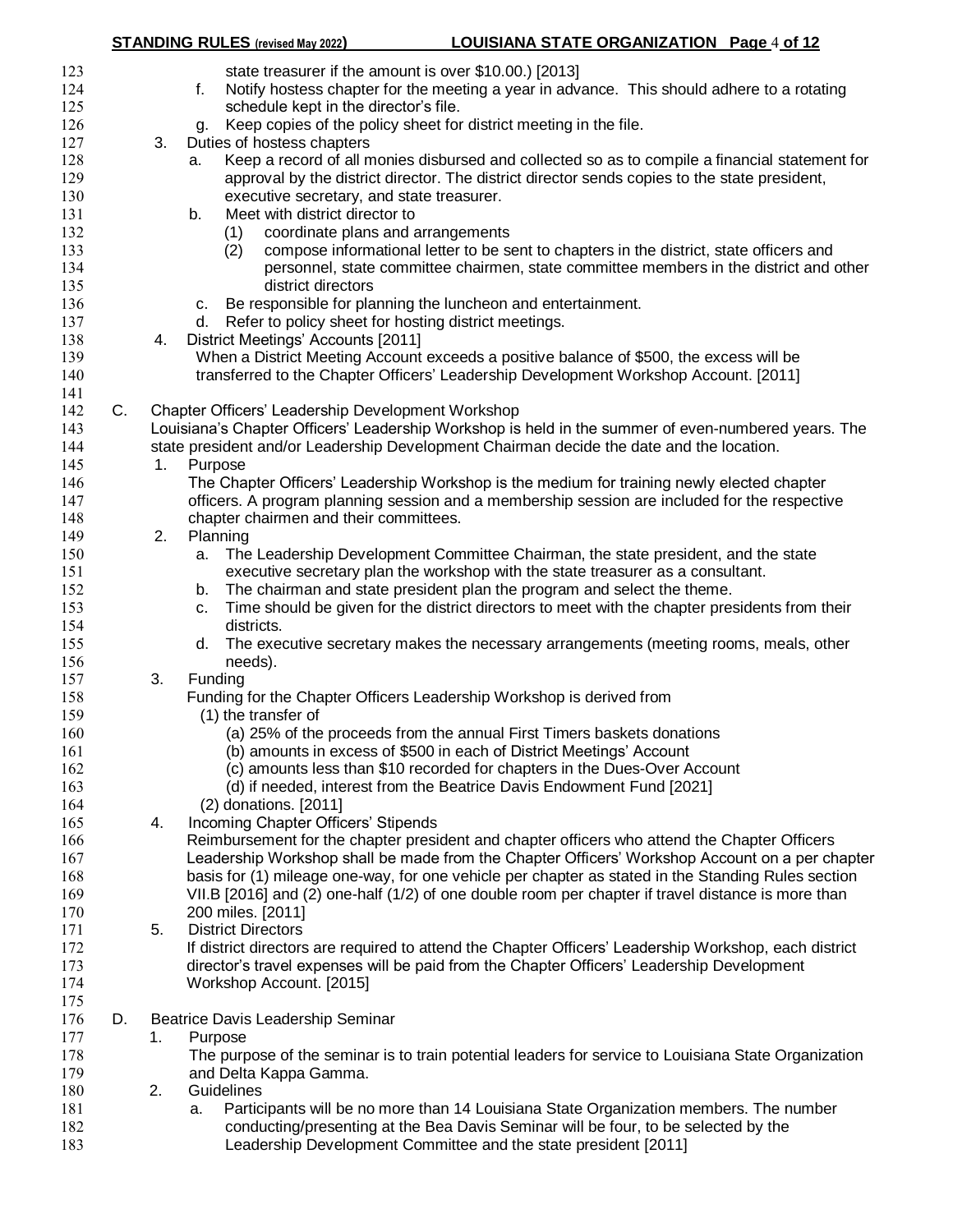|     |    |    | <b>STANDING RULES</b> (revised May 2022)<br>LOUISIANA STATE ORGANIZATION Page 4 of 12                 |
|-----|----|----|-------------------------------------------------------------------------------------------------------|
| 123 |    |    | state treasurer if the amount is over \$10.00.) [2013]                                                |
| 124 |    |    | Notify hostess chapter for the meeting a year in advance. This should adhere to a rotating<br>f.      |
| 125 |    |    | schedule kept in the director's file.                                                                 |
| 126 |    |    | g. Keep copies of the policy sheet for district meeting in the file.                                  |
| 127 |    | 3. | Duties of hostess chapters                                                                            |
| 128 |    |    | Keep a record of all monies disbursed and collected so as to compile a financial statement for<br>а.  |
| 129 |    |    | approval by the district director. The district director sends copies to the state president,         |
| 130 |    |    | executive secretary, and state treasurer.                                                             |
| 131 |    |    | Meet with district director to<br>b.                                                                  |
| 132 |    |    | coordinate plans and arrangements<br>(1)                                                              |
| 133 |    |    | compose informational letter to be sent to chapters in the district, state officers and<br>(2)        |
| 134 |    |    | personnel, state committee chairmen, state committee members in the district and other                |
| 135 |    |    | district directors                                                                                    |
| 136 |    |    | Be responsible for planning the luncheon and entertainment.<br>C.                                     |
| 137 |    |    | d. Refer to policy sheet for hosting district meetings.                                               |
| 138 |    | 4. | District Meetings' Accounts [2011]                                                                    |
| 139 |    |    | When a District Meeting Account exceeds a positive balance of \$500, the excess will be               |
| 140 |    |    | transferred to the Chapter Officers' Leadership Development Workshop Account. [2011]                  |
| 141 |    |    |                                                                                                       |
| 142 | C. |    | Chapter Officers' Leadership Development Workshop                                                     |
| 143 |    |    | Louisiana's Chapter Officers' Leadership Workshop is held in the summer of even-numbered years. The   |
| 144 |    |    | state president and/or Leadership Development Chairman decide the date and the location.              |
| 145 |    | 1. | Purpose                                                                                               |
| 146 |    |    | The Chapter Officers' Leadership Workshop is the medium for training newly elected chapter            |
| 147 |    |    | officers. A program planning session and a membership session are included for the respective         |
| 148 |    |    | chapter chairmen and their committees.                                                                |
| 149 |    | 2. | Planning                                                                                              |
| 150 |    |    | a. The Leadership Development Committee Chairman, the state president, and the state                  |
| 151 |    |    | executive secretary plan the workshop with the state treasurer as a consultant.                       |
| 152 |    |    | The chairman and state president plan the program and select the theme.<br>b.                         |
| 153 |    |    | Time should be given for the district directors to meet with the chapter presidents from their<br>c.  |
| 154 |    |    | districts.                                                                                            |
| 155 |    |    | The executive secretary makes the necessary arrangements (meeting rooms, meals, other<br>d.           |
| 156 |    |    | needs).                                                                                               |
| 157 |    | 3. | Funding                                                                                               |
| 158 |    |    | Funding for the Chapter Officers Leadership Workshop is derived from                                  |
| 159 |    |    | (1) the transfer of                                                                                   |
| 160 |    |    | (a) 25% of the proceeds from the annual First Timers baskets donations                                |
| 161 |    |    | (b) amounts in excess of \$500 in each of District Meetings' Account                                  |
| 162 |    |    | (c) amounts less than \$10 recorded for chapters in the Dues-Over Account                             |
| 163 |    |    | (d) if needed, interest from the Beatrice Davis Endowment Fund [2021]                                 |
| 164 |    |    | (2) donations. [2011]                                                                                 |
| 165 |    | 4. | Incoming Chapter Officers' Stipends                                                                   |
| 166 |    |    | Reimbursement for the chapter president and chapter officers who attend the Chapter Officers          |
| 167 |    |    | Leadership Workshop shall be made from the Chapter Officers' Workshop Account on a per chapter        |
| 168 |    |    | basis for (1) mileage one-way, for one vehicle per chapter as stated in the Standing Rules section    |
| 169 |    |    | VII.B [2016] and (2) one-half (1/2) of one double room per chapter if travel distance is more than    |
| 170 |    |    | 200 miles. [2011]                                                                                     |
| 171 |    | 5. | <b>District Directors</b>                                                                             |
| 172 |    |    | If district directors are required to attend the Chapter Officers' Leadership Workshop, each district |
| 173 |    |    | director's travel expenses will be paid from the Chapter Officers' Leadership Development             |
| 174 |    |    | Workshop Account. [2015]                                                                              |
| 175 |    |    |                                                                                                       |
| 176 | D. |    | Beatrice Davis Leadership Seminar                                                                     |
| 177 |    | 1. | Purpose                                                                                               |
| 178 |    |    | The purpose of the seminar is to train potential leaders for service to Louisiana State Organization  |
| 179 |    |    | and Delta Kappa Gamma.                                                                                |
| 180 |    | 2. | Guidelines                                                                                            |
| 181 |    |    | Participants will be no more than 14 Louisiana State Organization members. The number<br>а.           |
| 182 |    |    | conducting/presenting at the Bea Davis Seminar will be four, to be selected by the                    |
| 183 |    |    | Leadership Development Committee and the state president [2011]                                       |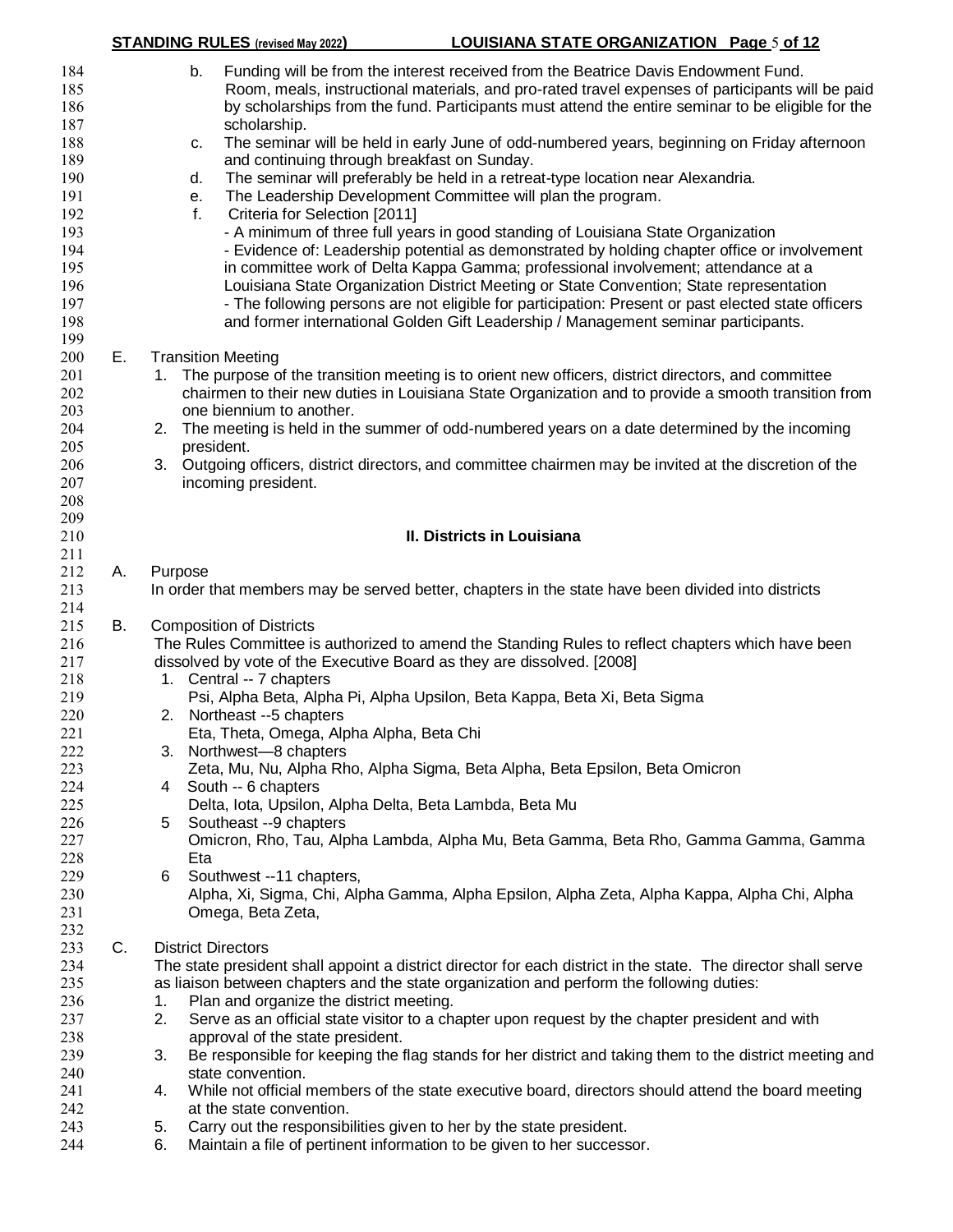|                                                                                                                            |    | <b>STANDING RULES</b> (revised May 2022)                                                                                                                                                                                                                                                                                                                                                                                                                                                                                                                                                                                                                                                                                                                                                                                                                                               | <b>LOUISIANA STATE ORGANIZATION Page 5 of 12</b> |  |
|----------------------------------------------------------------------------------------------------------------------------|----|----------------------------------------------------------------------------------------------------------------------------------------------------------------------------------------------------------------------------------------------------------------------------------------------------------------------------------------------------------------------------------------------------------------------------------------------------------------------------------------------------------------------------------------------------------------------------------------------------------------------------------------------------------------------------------------------------------------------------------------------------------------------------------------------------------------------------------------------------------------------------------------|--------------------------------------------------|--|
| 184<br>185<br>186<br>187<br>188<br>189<br>190                                                                              |    | Funding will be from the interest received from the Beatrice Davis Endowment Fund.<br>b.<br>Room, meals, instructional materials, and pro-rated travel expenses of participants will be paid<br>by scholarships from the fund. Participants must attend the entire seminar to be eligible for the<br>scholarship.<br>The seminar will be held in early June of odd-numbered years, beginning on Friday afternoon<br>c.<br>and continuing through breakfast on Sunday.<br>The seminar will preferably be held in a retreat-type location near Alexandria.<br>d.                                                                                                                                                                                                                                                                                                                         |                                                  |  |
| 191<br>192<br>193<br>194<br>195<br>196<br>197<br>198<br>199                                                                |    | The Leadership Development Committee will plan the program.<br>е.<br>f.<br>Criteria for Selection [2011]<br>- A minimum of three full years in good standing of Louisiana State Organization<br>- Evidence of: Leadership potential as demonstrated by holding chapter office or involvement<br>in committee work of Delta Kappa Gamma; professional involvement; attendance at a<br>Louisiana State Organization District Meeting or State Convention; State representation<br>- The following persons are not eligible for participation: Present or past elected state officers<br>and former international Golden Gift Leadership / Management seminar participants.                                                                                                                                                                                                               |                                                  |  |
| 200<br>201<br>202<br>203<br>204<br>205<br>206<br>207<br>208<br>209                                                         | Ε. | <b>Transition Meeting</b><br>1. The purpose of the transition meeting is to orient new officers, district directors, and committee<br>chairmen to their new duties in Louisiana State Organization and to provide a smooth transition from<br>one biennium to another.<br>2. The meeting is held in the summer of odd-numbered years on a date determined by the incoming<br>president.<br>3. Outgoing officers, district directors, and committee chairmen may be invited at the discretion of the<br>incoming president.                                                                                                                                                                                                                                                                                                                                                             |                                                  |  |
| 210                                                                                                                        |    |                                                                                                                                                                                                                                                                                                                                                                                                                                                                                                                                                                                                                                                                                                                                                                                                                                                                                        | II. Districts in Louisiana                       |  |
| 211<br>212<br>213<br>214                                                                                                   | А. | Purpose<br>In order that members may be served better, chapters in the state have been divided into districts                                                                                                                                                                                                                                                                                                                                                                                                                                                                                                                                                                                                                                                                                                                                                                          |                                                  |  |
| 215<br>216<br>217<br>218<br>219<br>220<br>221<br>222<br>223<br>224<br>225<br>226<br>227<br>228<br>229<br>230<br>231<br>232 | В. | <b>Composition of Districts</b><br>The Rules Committee is authorized to amend the Standing Rules to reflect chapters which have been<br>dissolved by vote of the Executive Board as they are dissolved. [2008]<br>1. Central -- 7 chapters<br>Psi, Alpha Beta, Alpha Pi, Alpha Upsilon, Beta Kappa, Beta Xi, Beta Sigma<br>2. Northeast --5 chapters<br>Eta, Theta, Omega, Alpha Alpha, Beta Chi<br>3. Northwest-8 chapters<br>Zeta, Mu, Nu, Alpha Rho, Alpha Sigma, Beta Alpha, Beta Epsilon, Beta Omicron<br>South -- 6 chapters<br>4<br>Delta, Iota, Upsilon, Alpha Delta, Beta Lambda, Beta Mu<br>Southeast --9 chapters<br>5.<br>Omicron, Rho, Tau, Alpha Lambda, Alpha Mu, Beta Gamma, Beta Rho, Gamma Gamma, Gamma<br>Eta<br>Southwest --11 chapters,<br>6<br>Alpha, Xi, Sigma, Chi, Alpha Gamma, Alpha Epsilon, Alpha Zeta, Alpha Kappa, Alpha Chi, Alpha<br>Omega, Beta Zeta, |                                                  |  |
| 233<br>234<br>235<br>236<br>237<br>238<br>239<br>240<br>241<br>242<br>243<br>244                                           | C. | <b>District Directors</b><br>The state president shall appoint a district director for each district in the state. The director shall serve<br>as liaison between chapters and the state organization and perform the following duties:<br>Plan and organize the district meeting.<br>1.<br>Serve as an official state visitor to a chapter upon request by the chapter president and with<br>2.<br>approval of the state president.<br>Be responsible for keeping the flag stands for her district and taking them to the district meeting and<br>3.<br>state convention.<br>While not official members of the state executive board, directors should attend the board meeting<br>4.<br>at the state convention.<br>Carry out the responsibilities given to her by the state president.<br>5.<br>Maintain a file of pertinent information to be given to her successor.<br>6.        |                                                  |  |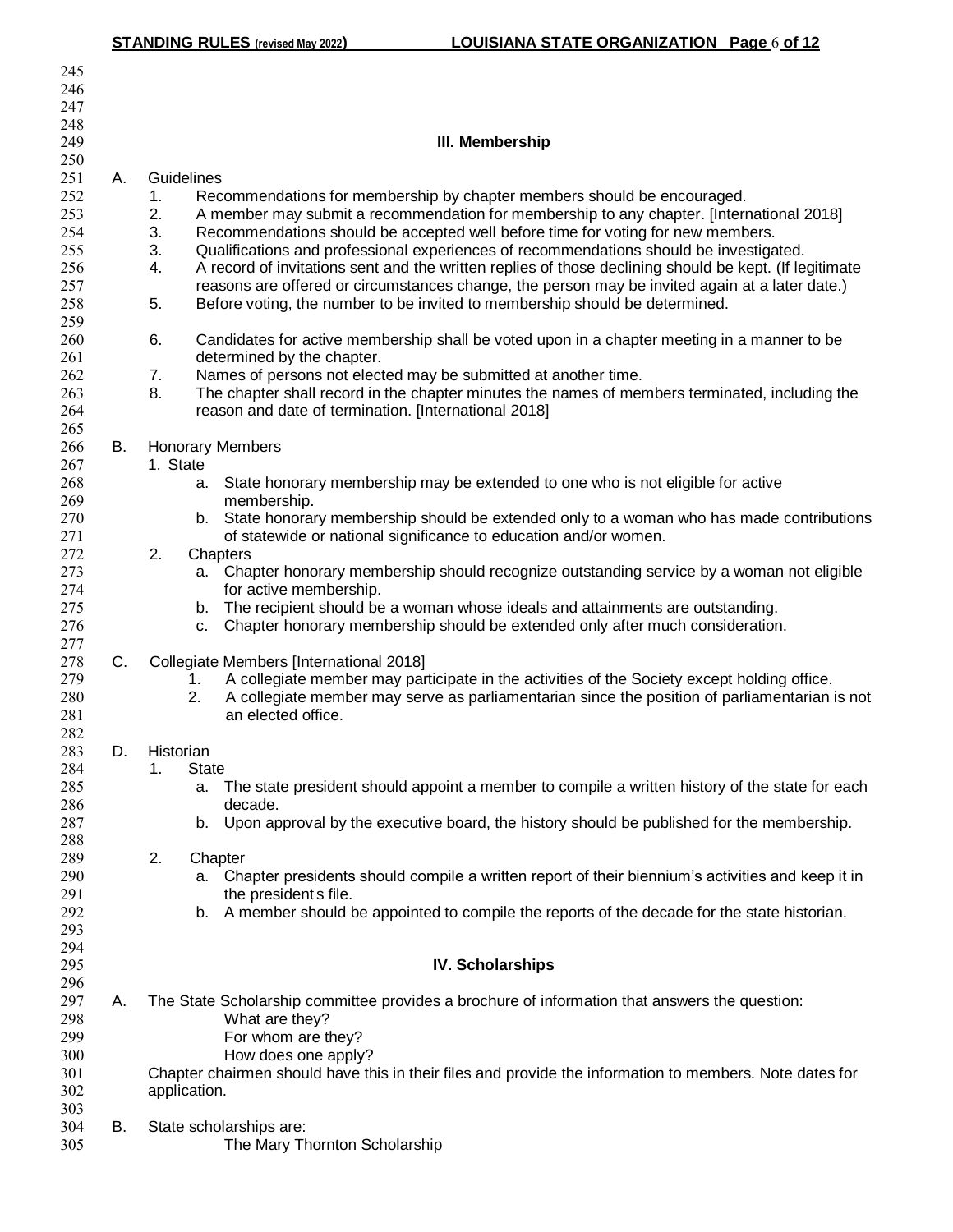| 245        |    |                                                                                                                                                                                       |
|------------|----|---------------------------------------------------------------------------------------------------------------------------------------------------------------------------------------|
| 246        |    |                                                                                                                                                                                       |
| 247        |    |                                                                                                                                                                                       |
| 248        |    |                                                                                                                                                                                       |
| 249        |    | III. Membership                                                                                                                                                                       |
| 250        |    |                                                                                                                                                                                       |
| 251        | Α. | Guidelines                                                                                                                                                                            |
| 252<br>253 |    | Recommendations for membership by chapter members should be encouraged.<br>1 <sub>1</sub><br>A member may submit a recommendation for membership to any chapter. [International 2018] |
| 254        |    | 2.<br>3.<br>Recommendations should be accepted well before time for voting for new members.                                                                                           |
| 255        |    | 3.<br>Qualifications and professional experiences of recommendations should be investigated.                                                                                          |
| 256        |    | A record of invitations sent and the written replies of those declining should be kept. (If legitimate<br>4.                                                                          |
| 257        |    | reasons are offered or circumstances change, the person may be invited again at a later date.)                                                                                        |
| 258        |    | Before voting, the number to be invited to membership should be determined.<br>5.                                                                                                     |
| 259        |    |                                                                                                                                                                                       |
| 260        |    | 6.<br>Candidates for active membership shall be voted upon in a chapter meeting in a manner to be                                                                                     |
| 261        |    | determined by the chapter.                                                                                                                                                            |
| 262        |    | Names of persons not elected may be submitted at another time.<br>7.                                                                                                                  |
| 263        |    | 8.<br>The chapter shall record in the chapter minutes the names of members terminated, including the                                                                                  |
| 264        |    | reason and date of termination. [International 2018]                                                                                                                                  |
| 265        |    |                                                                                                                                                                                       |
| 266<br>267 | В. | <b>Honorary Members</b><br>1. State                                                                                                                                                   |
| 268        |    | State honorary membership may be extended to one who is not eligible for active<br>а.                                                                                                 |
| 269        |    | membership.                                                                                                                                                                           |
| 270        |    | b. State honorary membership should be extended only to a woman who has made contributions                                                                                            |
| 271        |    | of statewide or national significance to education and/or women.                                                                                                                      |
| 272        |    | 2.<br>Chapters                                                                                                                                                                        |
| 273        |    | a. Chapter honorary membership should recognize outstanding service by a woman not eligible                                                                                           |
| 274        |    | for active membership.                                                                                                                                                                |
| 275        |    | b. The recipient should be a woman whose ideals and attainments are outstanding.                                                                                                      |
| 276        |    | Chapter honorary membership should be extended only after much consideration.<br>C.                                                                                                   |
| 277<br>278 | C. |                                                                                                                                                                                       |
| 279        |    | Collegiate Members [International 2018]<br>A collegiate member may participate in the activities of the Society except holding office.<br>1.                                          |
| 280        |    | 2.<br>A collegiate member may serve as parliamentarian since the position of parliamentarian is not                                                                                   |
| 281        |    | an elected office.                                                                                                                                                                    |
| 282        |    |                                                                                                                                                                                       |
| 283        | D. | Historian                                                                                                                                                                             |
| 284        |    | 1.<br><b>State</b>                                                                                                                                                                    |
| 285        |    | The state president should appoint a member to compile a written history of the state for each<br>а.                                                                                  |
| 286        |    | decade.                                                                                                                                                                               |
| 287        |    | Upon approval by the executive board, the history should be published for the membership.<br>b.                                                                                       |
| 288        |    |                                                                                                                                                                                       |
| 289<br>290 |    | 2.<br>Chapter<br>Chapter presidents should compile a written report of their biennium's activities and keep it in<br>а.                                                               |
| 291        |    | the president's file.                                                                                                                                                                 |
| 292        |    | A member should be appointed to compile the reports of the decade for the state historian.<br>b.                                                                                      |
| 293        |    |                                                                                                                                                                                       |
| 294        |    |                                                                                                                                                                                       |
| 295        |    | <b>IV. Scholarships</b>                                                                                                                                                               |
| 296        |    |                                                                                                                                                                                       |
| 297        | А. | The State Scholarship committee provides a brochure of information that answers the question:                                                                                         |
| 298        |    | What are they?                                                                                                                                                                        |
| 299        |    | For whom are they?                                                                                                                                                                    |
| 300<br>301 |    | How does one apply?<br>Chapter chairmen should have this in their files and provide the information to members. Note dates for                                                        |
| 302        |    | application.                                                                                                                                                                          |
| 303        |    |                                                                                                                                                                                       |
| 304        | В. | State scholarships are:                                                                                                                                                               |
| 305        |    | The Mary Thornton Scholarship                                                                                                                                                         |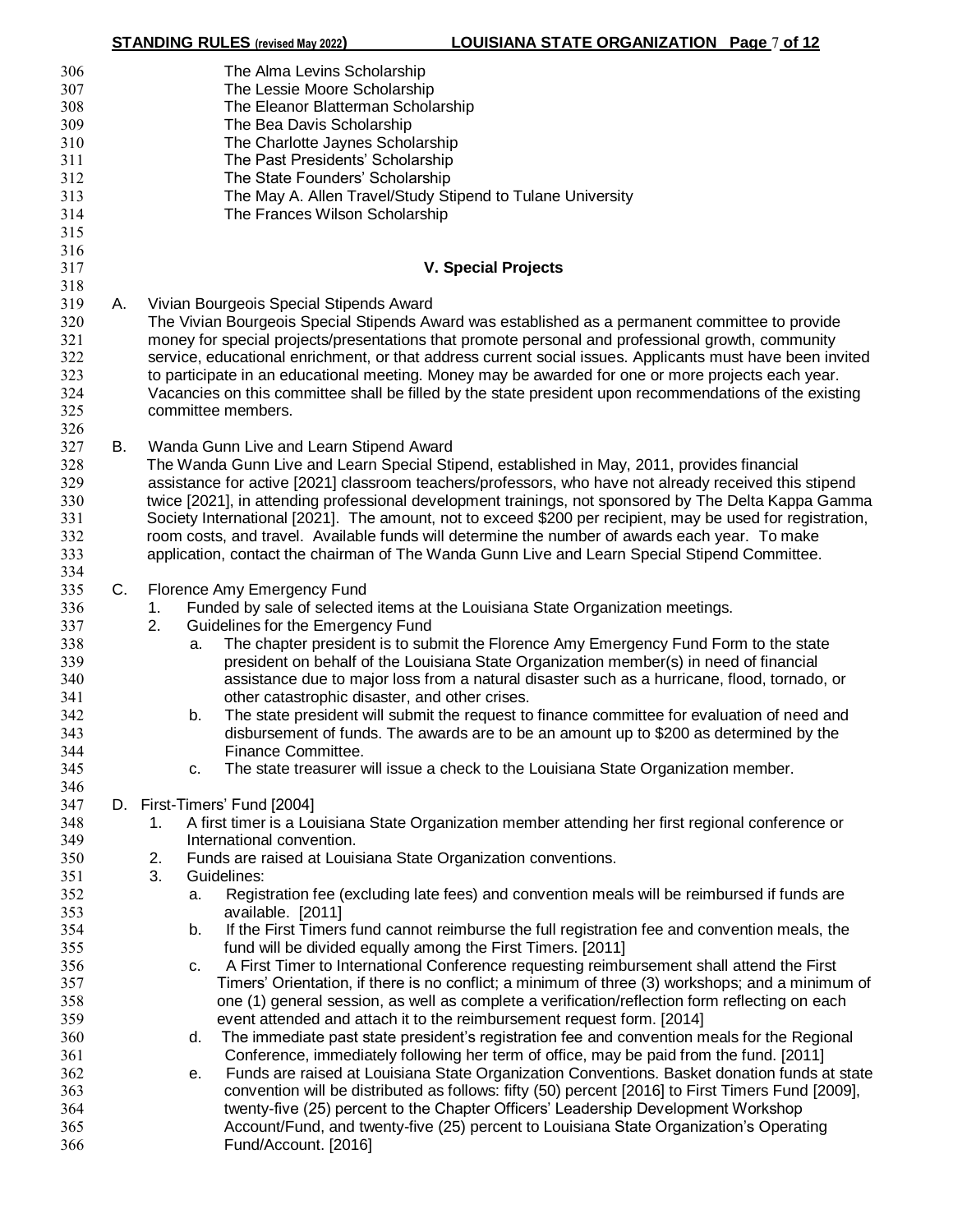|                                                                    |    | <b>STANDING RULES</b> (revised May 2022)                                                                                                                                                                                                                                                                                                                                    | LOUISIANA STATE ORGANIZATION Page 7 of 12                                                                                                                                                                                                                                                                                     |
|--------------------------------------------------------------------|----|-----------------------------------------------------------------------------------------------------------------------------------------------------------------------------------------------------------------------------------------------------------------------------------------------------------------------------------------------------------------------------|-------------------------------------------------------------------------------------------------------------------------------------------------------------------------------------------------------------------------------------------------------------------------------------------------------------------------------|
| 306<br>307<br>308<br>309<br>310<br>311<br>312<br>313<br>314<br>315 |    | The Alma Levins Scholarship<br>The Lessie Moore Scholarship<br>The Eleanor Blatterman Scholarship<br>The Bea Davis Scholarship<br>The Charlotte Jaynes Scholarship<br>The Past Presidents' Scholarship<br>The State Founders' Scholarship<br>The May A. Allen Travel/Study Stipend to Tulane University<br>The Frances Wilson Scholarship                                   |                                                                                                                                                                                                                                                                                                                               |
| 316<br>317                                                         |    | <b>V. Special Projects</b>                                                                                                                                                                                                                                                                                                                                                  |                                                                                                                                                                                                                                                                                                                               |
| 318                                                                |    |                                                                                                                                                                                                                                                                                                                                                                             |                                                                                                                                                                                                                                                                                                                               |
| 319<br>320<br>321<br>322<br>323<br>324<br>325<br>326               | А. | Vivian Bourgeois Special Stipends Award<br>The Vivian Bourgeois Special Stipends Award was established as a permanent committee to provide<br>money for special projects/presentations that promote personal and professional growth, community<br>to participate in an educational meeting. Money may be awarded for one or more projects each year.<br>committee members. | service, educational enrichment, or that address current social issues. Applicants must have been invited<br>Vacancies on this committee shall be filled by the state president upon recommendations of the existing                                                                                                          |
| 327                                                                | В. |                                                                                                                                                                                                                                                                                                                                                                             |                                                                                                                                                                                                                                                                                                                               |
| 328<br>329<br>330<br>331<br>332<br>333                             |    | Wanda Gunn Live and Learn Stipend Award<br>The Wanda Gunn Live and Learn Special Stipend, established in May, 2011, provides financial<br>room costs, and travel. Available funds will determine the number of awards each year. To make<br>application, contact the chairman of The Wanda Gunn Live and Learn Special Stipend Committee.                                   | assistance for active [2021] classroom teachers/professors, who have not already received this stipend<br>twice [2021], in attending professional development trainings, not sponsored by The Delta Kappa Gamma<br>Society International [2021]. The amount, not to exceed \$200 per recipient, may be used for registration, |
| 334                                                                |    |                                                                                                                                                                                                                                                                                                                                                                             |                                                                                                                                                                                                                                                                                                                               |
| 335                                                                | C. | Florence Amy Emergency Fund                                                                                                                                                                                                                                                                                                                                                 |                                                                                                                                                                                                                                                                                                                               |
| 336                                                                |    | Funded by sale of selected items at the Louisiana State Organization meetings.<br>1.                                                                                                                                                                                                                                                                                        |                                                                                                                                                                                                                                                                                                                               |
| 337                                                                |    | Guidelines for the Emergency Fund<br>2.                                                                                                                                                                                                                                                                                                                                     |                                                                                                                                                                                                                                                                                                                               |
| 338                                                                |    | a.                                                                                                                                                                                                                                                                                                                                                                          | The chapter president is to submit the Florence Amy Emergency Fund Form to the state                                                                                                                                                                                                                                          |
| 339                                                                |    |                                                                                                                                                                                                                                                                                                                                                                             | president on behalf of the Louisiana State Organization member(s) in need of financial                                                                                                                                                                                                                                        |
| 340                                                                |    |                                                                                                                                                                                                                                                                                                                                                                             | assistance due to major loss from a natural disaster such as a hurricane, flood, tornado, or                                                                                                                                                                                                                                  |
| 341                                                                |    | other catastrophic disaster, and other crises.                                                                                                                                                                                                                                                                                                                              |                                                                                                                                                                                                                                                                                                                               |
| 342                                                                |    | b.                                                                                                                                                                                                                                                                                                                                                                          | The state president will submit the request to finance committee for evaluation of need and                                                                                                                                                                                                                                   |
| 343                                                                |    |                                                                                                                                                                                                                                                                                                                                                                             | disbursement of funds. The awards are to be an amount up to \$200 as determined by the                                                                                                                                                                                                                                        |
| 344                                                                |    | Finance Committee.                                                                                                                                                                                                                                                                                                                                                          |                                                                                                                                                                                                                                                                                                                               |
| 345                                                                |    | c.                                                                                                                                                                                                                                                                                                                                                                          | The state treasurer will issue a check to the Louisiana State Organization member.                                                                                                                                                                                                                                            |
| 346                                                                |    |                                                                                                                                                                                                                                                                                                                                                                             |                                                                                                                                                                                                                                                                                                                               |
| 347                                                                |    | D. First-Timers' Fund [2004]                                                                                                                                                                                                                                                                                                                                                |                                                                                                                                                                                                                                                                                                                               |
| 348                                                                |    | 1.                                                                                                                                                                                                                                                                                                                                                                          | A first timer is a Louisiana State Organization member attending her first regional conference or                                                                                                                                                                                                                             |
| 349                                                                |    | International convention.                                                                                                                                                                                                                                                                                                                                                   |                                                                                                                                                                                                                                                                                                                               |
| 350                                                                |    | Funds are raised at Louisiana State Organization conventions.<br>2.                                                                                                                                                                                                                                                                                                         |                                                                                                                                                                                                                                                                                                                               |
| 351                                                                |    | 3.<br>Guidelines:                                                                                                                                                                                                                                                                                                                                                           |                                                                                                                                                                                                                                                                                                                               |
| 352                                                                |    | a.                                                                                                                                                                                                                                                                                                                                                                          | Registration fee (excluding late fees) and convention meals will be reimbursed if funds are                                                                                                                                                                                                                                   |
| 353                                                                |    | available. [2011]                                                                                                                                                                                                                                                                                                                                                           |                                                                                                                                                                                                                                                                                                                               |
| 354                                                                |    | b.                                                                                                                                                                                                                                                                                                                                                                          | If the First Timers fund cannot reimburse the full registration fee and convention meals, the                                                                                                                                                                                                                                 |
| 355<br>356                                                         |    | fund will be divided equally among the First Timers. [2011]                                                                                                                                                                                                                                                                                                                 | A First Timer to International Conference requesting reimbursement shall attend the First                                                                                                                                                                                                                                     |
| 357                                                                |    | c.                                                                                                                                                                                                                                                                                                                                                                          | Timers' Orientation, if there is no conflict; a minimum of three (3) workshops; and a minimum of                                                                                                                                                                                                                              |
| 358                                                                |    |                                                                                                                                                                                                                                                                                                                                                                             | one (1) general session, as well as complete a verification/reflection form reflecting on each                                                                                                                                                                                                                                |
| 359                                                                |    | event attended and attach it to the reimbursement request form. [2014]                                                                                                                                                                                                                                                                                                      |                                                                                                                                                                                                                                                                                                                               |
| 360                                                                |    | d.                                                                                                                                                                                                                                                                                                                                                                          | The immediate past state president's registration fee and convention meals for the Regional                                                                                                                                                                                                                                   |
| 361                                                                |    |                                                                                                                                                                                                                                                                                                                                                                             | Conference, immediately following her term of office, may be paid from the fund. [2011]                                                                                                                                                                                                                                       |
| 362                                                                |    | е.                                                                                                                                                                                                                                                                                                                                                                          | Funds are raised at Louisiana State Organization Conventions. Basket donation funds at state                                                                                                                                                                                                                                  |
| 363                                                                |    |                                                                                                                                                                                                                                                                                                                                                                             | convention will be distributed as follows: fifty (50) percent [2016] to First Timers Fund [2009],                                                                                                                                                                                                                             |
| 364                                                                |    |                                                                                                                                                                                                                                                                                                                                                                             | twenty-five (25) percent to the Chapter Officers' Leadership Development Workshop                                                                                                                                                                                                                                             |
| 365                                                                |    |                                                                                                                                                                                                                                                                                                                                                                             | Account/Fund, and twenty-five (25) percent to Louisiana State Organization's Operating                                                                                                                                                                                                                                        |
| 366                                                                |    | Fund/Account. [2016]                                                                                                                                                                                                                                                                                                                                                        |                                                                                                                                                                                                                                                                                                                               |
|                                                                    |    |                                                                                                                                                                                                                                                                                                                                                                             |                                                                                                                                                                                                                                                                                                                               |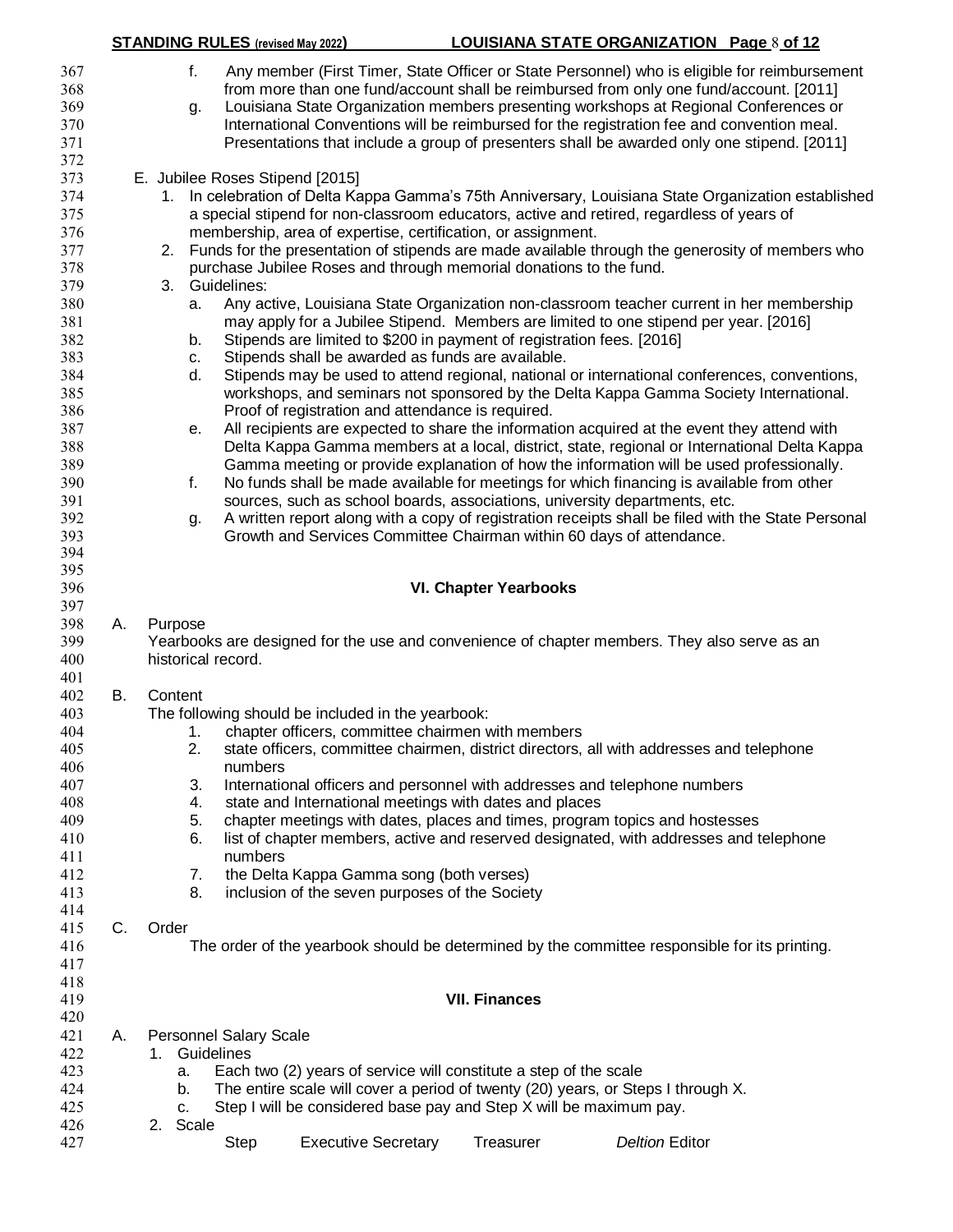|     |    |         |       | <b>STANDING RULES</b> (revised May 2022) |                                                              | <b>LOUISIANA STATE ORGANIZATION Page 8 of 12</b>                                                    |                       |  |
|-----|----|---------|-------|------------------------------------------|--------------------------------------------------------------|-----------------------------------------------------------------------------------------------------|-----------------------|--|
| 367 |    |         | f.    |                                          |                                                              | Any member (First Timer, State Officer or State Personnel) who is eligible for reimbursement        |                       |  |
| 368 |    |         |       |                                          |                                                              | from more than one fund/account shall be reimbursed from only one fund/account. [2011]              |                       |  |
| 369 |    |         | g.    |                                          |                                                              | Louisiana State Organization members presenting workshops at Regional Conferences or                |                       |  |
| 370 |    |         |       |                                          |                                                              | International Conventions will be reimbursed for the registration fee and convention meal.          |                       |  |
| 371 |    |         |       |                                          |                                                              | Presentations that include a group of presenters shall be awarded only one stipend. [2011]          |                       |  |
| 372 |    |         |       |                                          |                                                              |                                                                                                     |                       |  |
| 373 |    |         |       | E. Jubilee Roses Stipend [2015]          |                                                              |                                                                                                     |                       |  |
| 374 |    |         |       |                                          |                                                              | 1. In celebration of Delta Kappa Gamma's 75th Anniversary, Louisiana State Organization established |                       |  |
| 375 |    |         |       |                                          |                                                              | a special stipend for non-classroom educators, active and retired, regardless of years of           |                       |  |
| 376 |    |         |       |                                          | membership, area of expertise, certification, or assignment. |                                                                                                     |                       |  |
| 377 |    | 2.      |       |                                          |                                                              | Funds for the presentation of stipends are made available through the generosity of members who     |                       |  |
|     |    |         |       |                                          |                                                              |                                                                                                     |                       |  |
| 378 |    | 3.      |       | Guidelines:                              |                                                              | purchase Jubilee Roses and through memorial donations to the fund.                                  |                       |  |
| 379 |    |         |       |                                          |                                                              |                                                                                                     |                       |  |
| 380 |    |         | a.    |                                          |                                                              | Any active, Louisiana State Organization non-classroom teacher current in her membership            |                       |  |
| 381 |    |         |       |                                          |                                                              | may apply for a Jubilee Stipend. Members are limited to one stipend per year. [2016]                |                       |  |
| 382 |    |         | b.    |                                          |                                                              | Stipends are limited to \$200 in payment of registration fees. [2016]                               |                       |  |
| 383 |    |         | c.    |                                          | Stipends shall be awarded as funds are available.            |                                                                                                     |                       |  |
| 384 |    |         | d.    |                                          |                                                              | Stipends may be used to attend regional, national or international conferences, conventions,        |                       |  |
| 385 |    |         |       |                                          |                                                              | workshops, and seminars not sponsored by the Delta Kappa Gamma Society International.               |                       |  |
| 386 |    |         |       |                                          | Proof of registration and attendance is required.            |                                                                                                     |                       |  |
| 387 |    |         | е.    |                                          |                                                              | All recipients are expected to share the information acquired at the event they attend with         |                       |  |
| 388 |    |         |       |                                          |                                                              | Delta Kappa Gamma members at a local, district, state, regional or International Delta Kappa        |                       |  |
| 389 |    |         |       |                                          |                                                              | Gamma meeting or provide explanation of how the information will be used professionally.            |                       |  |
| 390 |    |         | f.    |                                          |                                                              | No funds shall be made available for meetings for which financing is available from other           |                       |  |
| 391 |    |         |       |                                          |                                                              | sources, such as school boards, associations, university departments, etc.                          |                       |  |
| 392 |    |         | g.    |                                          |                                                              | A written report along with a copy of registration receipts shall be filed with the State Personal  |                       |  |
| 393 |    |         |       |                                          |                                                              | Growth and Services Committee Chairman within 60 days of attendance.                                |                       |  |
| 394 |    |         |       |                                          |                                                              |                                                                                                     |                       |  |
| 395 |    |         |       |                                          |                                                              |                                                                                                     |                       |  |
| 396 |    |         |       |                                          |                                                              | <b>VI. Chapter Yearbooks</b>                                                                        |                       |  |
| 397 |    |         |       |                                          |                                                              |                                                                                                     |                       |  |
| 398 | А. | Purpose |       |                                          |                                                              |                                                                                                     |                       |  |
| 399 |    |         |       |                                          |                                                              | Yearbooks are designed for the use and convenience of chapter members. They also serve as an        |                       |  |
| 400 |    |         |       | historical record.                       |                                                              |                                                                                                     |                       |  |
| 401 |    |         |       |                                          |                                                              |                                                                                                     |                       |  |
| 402 | В. | Content |       |                                          |                                                              |                                                                                                     |                       |  |
| 403 |    |         |       |                                          | The following should be included in the yearbook:            |                                                                                                     |                       |  |
| 404 |    |         | 1.    |                                          | chapter officers, committee chairmen with members            |                                                                                                     |                       |  |
| 405 |    |         | 2.    |                                          |                                                              | state officers, committee chairmen, district directors, all with addresses and telephone            |                       |  |
| 406 |    |         |       | numbers                                  |                                                              |                                                                                                     |                       |  |
| 407 |    |         | 3.    |                                          |                                                              | International officers and personnel with addresses and telephone numbers                           |                       |  |
| 408 |    |         | 4.    |                                          | state and International meetings with dates and places       |                                                                                                     |                       |  |
| 409 |    |         | 5.    |                                          |                                                              | chapter meetings with dates, places and times, program topics and hostesses                         |                       |  |
| 410 |    |         | 6.    |                                          |                                                              | list of chapter members, active and reserved designated, with addresses and telephone               |                       |  |
| 411 |    |         |       | numbers                                  |                                                              |                                                                                                     |                       |  |
| 412 |    |         | 7.    |                                          | the Delta Kappa Gamma song (both verses)                     |                                                                                                     |                       |  |
| 413 |    |         | 8.    |                                          | inclusion of the seven purposes of the Society               |                                                                                                     |                       |  |
| 414 |    |         |       |                                          |                                                              |                                                                                                     |                       |  |
| 415 | C. | Order   |       |                                          |                                                              |                                                                                                     |                       |  |
| 416 |    |         |       |                                          |                                                              | The order of the yearbook should be determined by the committee responsible for its printing.       |                       |  |
| 417 |    |         |       |                                          |                                                              |                                                                                                     |                       |  |
| 418 |    |         |       |                                          |                                                              |                                                                                                     |                       |  |
| 419 |    |         |       |                                          |                                                              | <b>VII. Finances</b>                                                                                |                       |  |
| 420 |    |         |       |                                          |                                                              |                                                                                                     |                       |  |
| 421 | А. |         |       | <b>Personnel Salary Scale</b>            |                                                              |                                                                                                     |                       |  |
| 422 |    | 1.      |       | Guidelines                               |                                                              |                                                                                                     |                       |  |
| 423 |    |         | a.    |                                          |                                                              | Each two (2) years of service will constitute a step of the scale                                   |                       |  |
| 424 |    |         | b.    |                                          |                                                              | The entire scale will cover a period of twenty (20) years, or Steps I through X.                    |                       |  |
| 425 |    |         | c.    |                                          |                                                              | Step I will be considered base pay and Step X will be maximum pay.                                  |                       |  |
| 426 |    | 2.      | Scale |                                          |                                                              |                                                                                                     |                       |  |
| 427 |    |         |       | Step                                     | <b>Executive Secretary</b>                                   | Treasurer                                                                                           | <b>Deltion Editor</b> |  |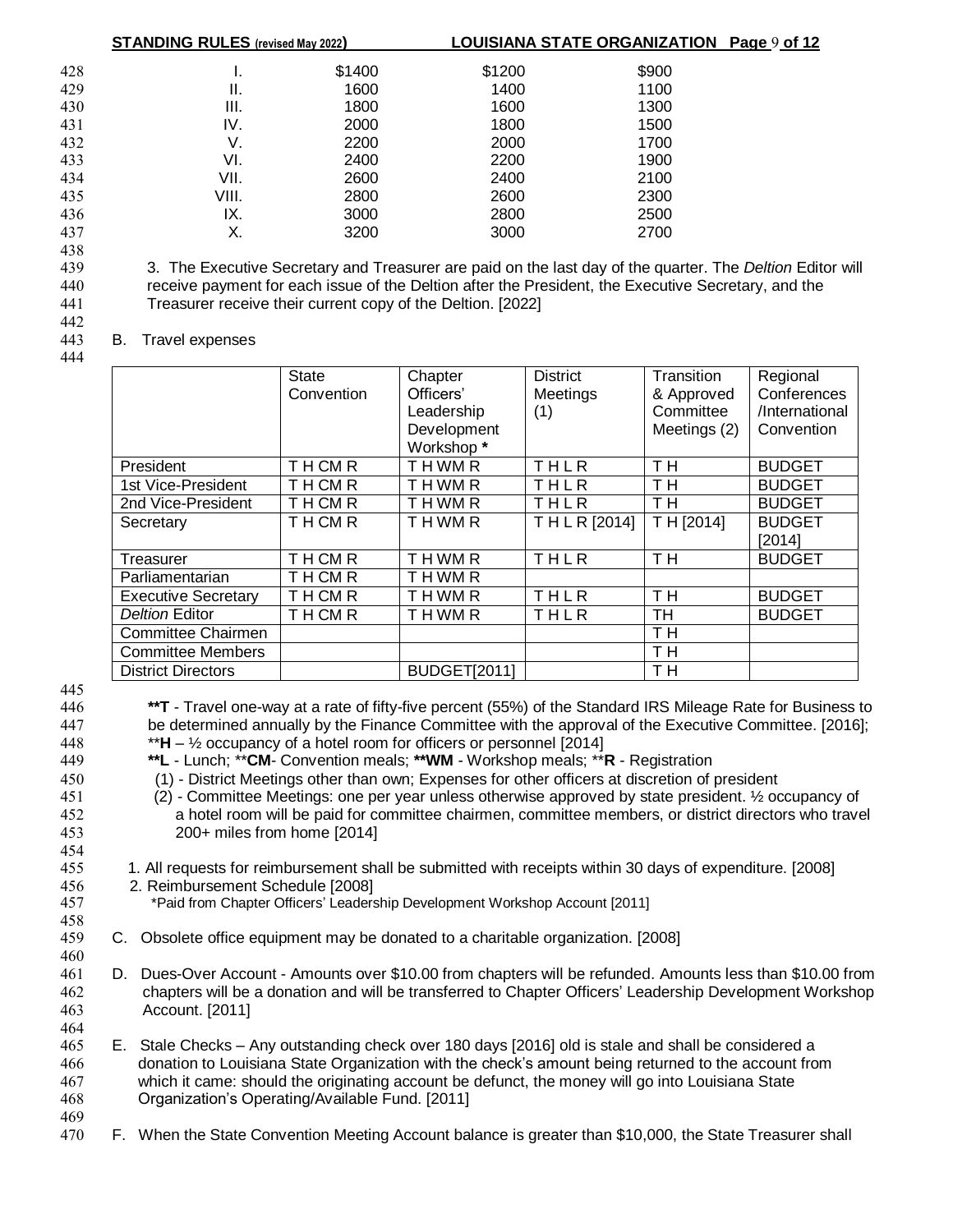|        | <b>STANDING RULES</b> (revised May 2022) |        |        | LOUISIANA STATE ORGANIZATION Page 9 of 12 |   |
|--------|------------------------------------------|--------|--------|-------------------------------------------|---|
| 428    |                                          | \$1400 | \$1200 | \$900                                     |   |
| 429    | Ш.                                       | 1600   | 1400   | 1100                                      |   |
| 430    | III.                                     | 1800   | 1600   | 1300                                      |   |
| 431    | IV.                                      | 2000   | 1800   | 1500                                      |   |
| 432    | V.                                       | 2200   | 2000   | 1700                                      |   |
| 433    | VI.                                      | 2400   | 2200   | 1900                                      |   |
| 434    | VII.                                     | 2600   | 2400   | 2100                                      |   |
| 435    | VIII.                                    | 2800   | 2600   | 2300                                      |   |
| 436    | IX.                                      | 3000   | 2800   | 2500                                      |   |
| 437    | Х.                                       | 3200   | 3000   | 2700                                      |   |
| 438    |                                          |        |        |                                           |   |
| $\sim$ | $\sim$<br>$\sim$                         | . –    | .      | $\sim$                                    | - |

 3. The Executive Secretary and Treasurer are paid on the last day of the quarter. The *Deltion* Editor will receive payment for each issue of the Deltion after the President, the Executive Secretary, and the Treasurer receive their current copy of the Deltion. [2022] 442

#### 443 B. Travel expenses

444

|                            | State<br>Convention | Chapter<br>Officers'<br>Leadership<br>Development<br>Workshop* | <b>District</b><br>Meetings<br>(1) | Transition<br>& Approved<br>Committee<br>Meetings (2) | Regional<br>Conferences<br>/International<br>Convention |
|----------------------------|---------------------|----------------------------------------------------------------|------------------------------------|-------------------------------------------------------|---------------------------------------------------------|
| President                  | <b>THCMR</b>        | <b>THWMR</b>                                                   | THLR                               | T <sub>H</sub>                                        | <b>BUDGET</b>                                           |
| 1st Vice-President         | <b>THCMR</b>        | THWMR                                                          | THLR                               | T <sub>H</sub>                                        | <b>BUDGET</b>                                           |
| 2nd Vice-President         | <b>THCMR</b>        | THWMR                                                          | THLR                               | T H                                                   | <b>BUDGET</b>                                           |
| Secretary                  | <b>THCMR</b>        | THWMR                                                          | THLR[2014]                         | T H [2014]                                            | <b>BUDGET</b><br>[2014]                                 |
| Treasurer                  | THCMR               | <b>THWMR</b>                                                   | <b>THLR</b>                        | TH <sub></sub>                                        | <b>BUDGET</b>                                           |
| Parliamentarian            | THCMR               | THWMR                                                          |                                    |                                                       |                                                         |
| <b>Executive Secretary</b> | <b>THCMR</b>        | <b>THWMR</b>                                                   | THLR                               | T <sub>H</sub>                                        | <b>BUDGET</b>                                           |
| <b>Deltion Editor</b>      | <b>THCMR</b>        | THWMR                                                          | THLR                               | <b>TH</b>                                             | <b>BUDGET</b>                                           |
| <b>Committee Chairmen</b>  |                     |                                                                |                                    | TH <sub></sub>                                        |                                                         |
| <b>Committee Members</b>   |                     |                                                                |                                    | TH <sub></sub>                                        |                                                         |
| <b>District Directors</b>  |                     | <b>BUDGET[2011]</b>                                            |                                    | TH.                                                   |                                                         |

445

454

458

460

464

446 **\*\*T** - Travel one-way at a rate of fifty-five percent (55%) of the Standard IRS Mileage Rate for Business to 447 be determined annually by the Finance Committee with the approval of the Executive Committee. [2016]; 448 \*\***H** – ½ occupancy of a hotel room for officers or personnel [2014]

- 449 **\*\*L** Lunch; \*\***CM** Convention meals; **\*\*WM** Workshop meals; \*\***R** Registration
- 450 (1) District Meetings other than own; Expenses for other officers at discretion of president

451 (2) - Committee Meetings: one per year unless otherwise approved by state president. ½ occupancy of 452 a hotel room will be paid for committee chairmen, committee members, or district directors who travel 453 200+ miles from home [2014]

- 455 1. All requests for reimbursement shall be submitted with receipts within 30 days of expenditure. [2008]
- 456 2. Reimbursement Schedule [2008]
- 457 \*Paid from Chapter Officers' Leadership Development Workshop Account [2011]
- 459 C. Obsolete office equipment may be donated to a charitable organization. [2008]
- 461 D. Dues-Over Account Amounts over \$10.00 from chapters will be refunded. Amounts less than \$10.00 from 462 chapters will be a donation and will be transferred to Chapter Officers' Leadership Development Workshop 463 Account. [2011]
- 465 E. Stale Checks Any outstanding check over 180 days [2016] old is stale and shall be considered a 466 donation to Louisiana State Organization with the check's amount being returned to the account from 467 which it came: should the originating account be defunct, the money will go into Louisiana State 468 Organization's Operating/Available Fund. [2011]
- 469
- 470 F. When the State Convention Meeting Account balance is greater than \$10,000, the State Treasurer shall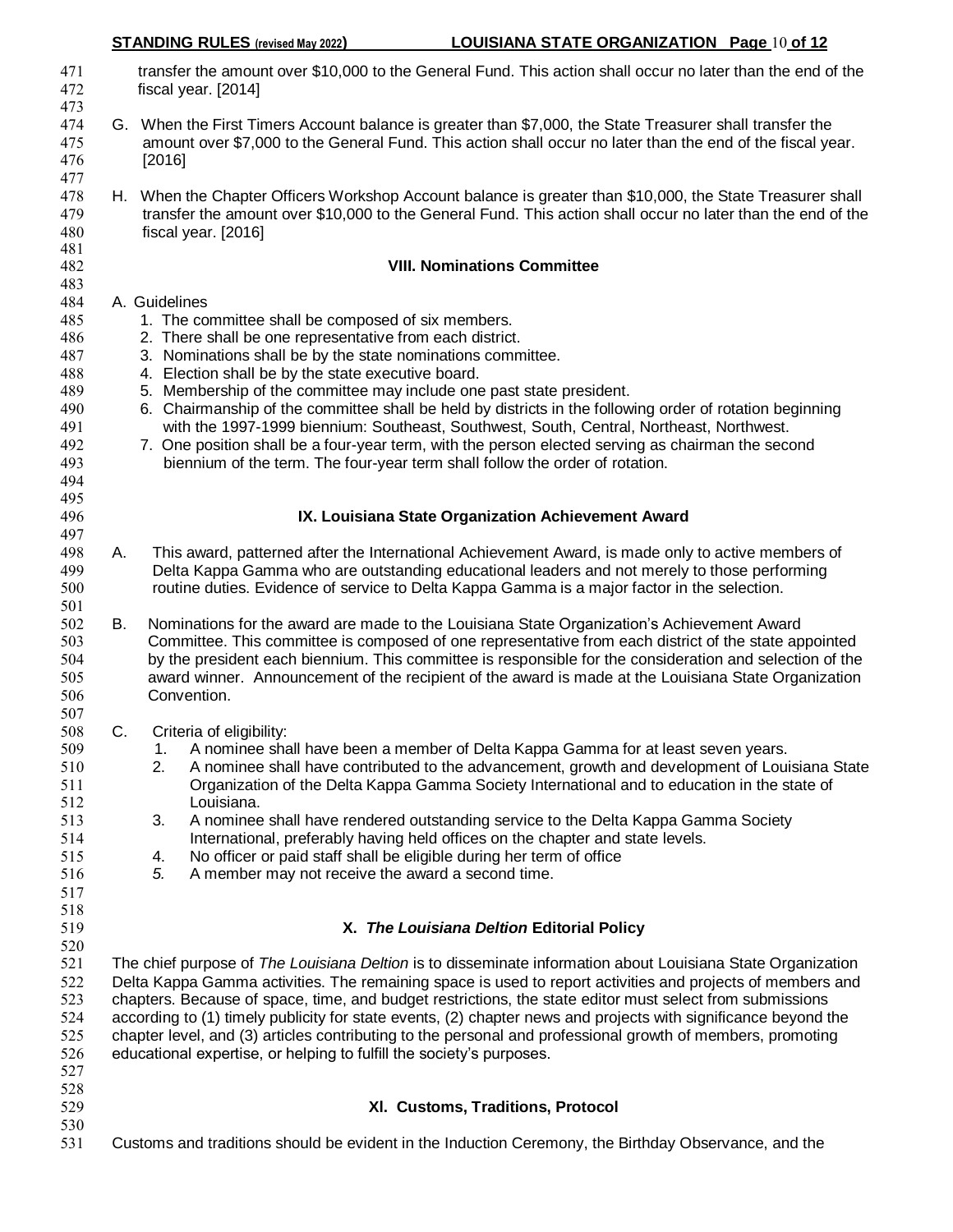| 471<br>472                                                         |    | transfer the amount over \$10,000 to the General Fund. This action shall occur no later than the end of the<br>fiscal year. [2014]                                                                                                                                                                                                                                                                                                                                                                                                                                                                                                                                                                       |
|--------------------------------------------------------------------|----|----------------------------------------------------------------------------------------------------------------------------------------------------------------------------------------------------------------------------------------------------------------------------------------------------------------------------------------------------------------------------------------------------------------------------------------------------------------------------------------------------------------------------------------------------------------------------------------------------------------------------------------------------------------------------------------------------------|
| 473<br>474<br>475<br>476<br>477                                    |    | G. When the First Timers Account balance is greater than \$7,000, the State Treasurer shall transfer the<br>amount over \$7,000 to the General Fund. This action shall occur no later than the end of the fiscal year.<br>[2016]                                                                                                                                                                                                                                                                                                                                                                                                                                                                         |
| 478<br>479<br>480<br>481                                           |    | H. When the Chapter Officers Workshop Account balance is greater than \$10,000, the State Treasurer shall<br>transfer the amount over \$10,000 to the General Fund. This action shall occur no later than the end of the<br>fiscal year. [2016]                                                                                                                                                                                                                                                                                                                                                                                                                                                          |
| 482                                                                |    | <b>VIII. Nominations Committee</b>                                                                                                                                                                                                                                                                                                                                                                                                                                                                                                                                                                                                                                                                       |
| 483<br>484                                                         |    | A. Guidelines                                                                                                                                                                                                                                                                                                                                                                                                                                                                                                                                                                                                                                                                                            |
| 485<br>486<br>487<br>488<br>489<br>490<br>491<br>492<br>493<br>494 |    | 1. The committee shall be composed of six members.<br>2. There shall be one representative from each district.<br>3. Nominations shall be by the state nominations committee.<br>4. Election shall be by the state executive board.<br>5. Membership of the committee may include one past state president.<br>6. Chairmanship of the committee shall be held by districts in the following order of rotation beginning<br>with the 1997-1999 biennium: Southeast, Southwest, South, Central, Northeast, Northwest.<br>7. One position shall be a four-year term, with the person elected serving as chairman the second<br>biennium of the term. The four-year term shall follow the order of rotation. |
| 495<br>496                                                         |    | IX. Louisiana State Organization Achievement Award                                                                                                                                                                                                                                                                                                                                                                                                                                                                                                                                                                                                                                                       |
| 497                                                                |    |                                                                                                                                                                                                                                                                                                                                                                                                                                                                                                                                                                                                                                                                                                          |
| 498<br>499<br>500<br>501                                           | А. | This award, patterned after the International Achievement Award, is made only to active members of<br>Delta Kappa Gamma who are outstanding educational leaders and not merely to those performing<br>routine duties. Evidence of service to Delta Kappa Gamma is a major factor in the selection.                                                                                                                                                                                                                                                                                                                                                                                                       |
| 502<br>503<br>504<br>505<br>506                                    | В. | Nominations for the award are made to the Louisiana State Organization's Achievement Award<br>Committee. This committee is composed of one representative from each district of the state appointed<br>by the president each biennium. This committee is responsible for the consideration and selection of the<br>award winner. Announcement of the recipient of the award is made at the Louisiana State Organization<br>Convention.                                                                                                                                                                                                                                                                   |
| 507<br>508                                                         | C. |                                                                                                                                                                                                                                                                                                                                                                                                                                                                                                                                                                                                                                                                                                          |
| 509<br>510<br>511<br>512                                           |    | Criteria of eligibility:<br>1. A nominee shall have been a member of Delta Kappa Gamma for at least seven years.<br>A nominee shall have contributed to the advancement, growth and development of Louisiana State<br>2.<br>Organization of the Delta Kappa Gamma Society International and to education in the state of<br>Louisiana.                                                                                                                                                                                                                                                                                                                                                                   |
| 513<br>514<br>515<br>516<br>517                                    |    | 3.<br>A nominee shall have rendered outstanding service to the Delta Kappa Gamma Society<br>International, preferably having held offices on the chapter and state levels.<br>No officer or paid staff shall be eligible during her term of office<br>4.<br>5.<br>A member may not receive the award a second time.                                                                                                                                                                                                                                                                                                                                                                                      |
| 518<br>519                                                         |    | X. The Louisiana Deltion Editorial Policy                                                                                                                                                                                                                                                                                                                                                                                                                                                                                                                                                                                                                                                                |
| 520                                                                |    |                                                                                                                                                                                                                                                                                                                                                                                                                                                                                                                                                                                                                                                                                                          |
| 521<br>522<br>523<br>524<br>525<br>526<br>527                      |    | The chief purpose of The Louisiana Deltion is to disseminate information about Louisiana State Organization<br>Delta Kappa Gamma activities. The remaining space is used to report activities and projects of members and<br>chapters. Because of space, time, and budget restrictions, the state editor must select from submissions<br>according to (1) timely publicity for state events, (2) chapter news and projects with significance beyond the<br>chapter level, and (3) articles contributing to the personal and professional growth of members, promoting<br>educational expertise, or helping to fulfill the society's purposes.                                                            |
| 528<br>529<br>530                                                  |    | XI. Customs, Traditions, Protocol                                                                                                                                                                                                                                                                                                                                                                                                                                                                                                                                                                                                                                                                        |
| 531                                                                |    | Customs and traditions should be evident in the Induction Ceremony, the Birthday Observance, and the                                                                                                                                                                                                                                                                                                                                                                                                                                                                                                                                                                                                     |

**STANDING RULES (revised May 2022) LOUISIANA STATE ORGANIZATION Page** 10 **of 12**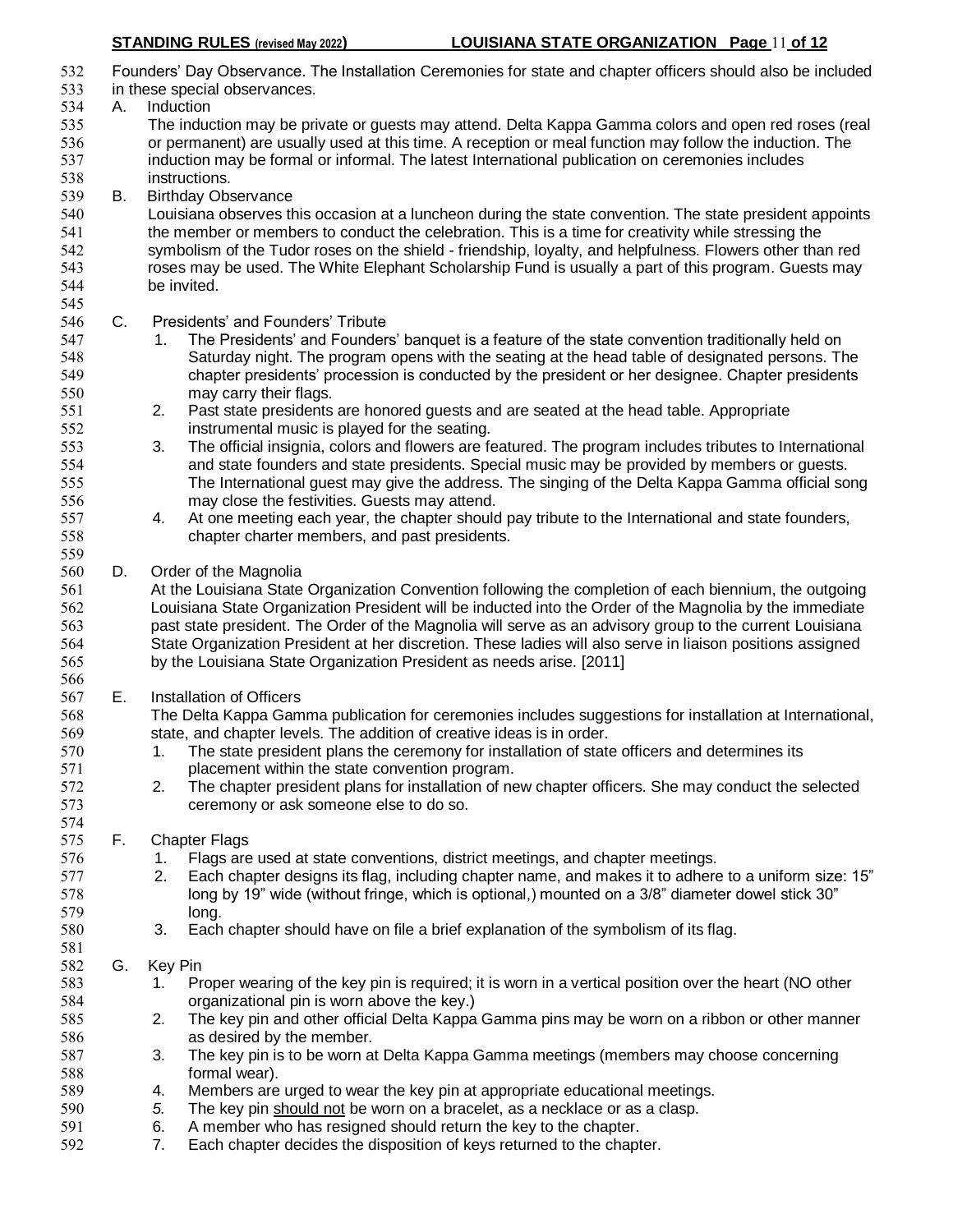Founders' Day Observance. The Installation Ceremonies for state and chapter officers should also be included in these special observances. A. Induction The induction may be private or guests may attend. Delta Kappa Gamma colors and open red roses (real or permanent) are usually used at this time. A reception or meal function may follow the induction. The induction may be formal or informal. The latest International publication on ceremonies includes instructions. B. Birthday Observance Louisiana observes this occasion at a luncheon during the state convention. The state president appoints the member or members to conduct the celebration. This is a time for creativity while stressing the symbolism of the Tudor roses on the shield - friendship, loyalty, and helpfulness. Flowers other than red roses may be used. The White Elephant Scholarship Fund is usually a part of this program. Guests may be invited. C. Presidents' and Founders' Tribute 547 1. The Presidents' and Founders' banquet is a feature of the state convention traditionally held on Saturday night. The program opens with the seating at the head table of designated persons. The chapter presidents' procession is conducted by the president or her designee. Chapter presidents may carry their flags. 2. Past state presidents are honored guests and are seated at the head table. Appropriate instrumental music is played for the seating. 3. The official insignia, colors and flowers are featured. The program includes tributes to International and state founders and state presidents. Special music may be provided by members or guests. The International guest may give the address. The singing of the Delta Kappa Gamma official song may close the festivities. Guests may attend. 4. At one meeting each year, the chapter should pay tribute to the International and state founders, chapter charter members, and past presidents. D. Order of the Magnolia At the Louisiana State Organization Convention following the completion of each biennium, the outgoing Louisiana State Organization President will be inducted into the Order of the Magnolia by the immediate past state president. The Order of the Magnolia will serve as an advisory group to the current Louisiana State Organization President at her discretion. These ladies will also serve in liaison positions assigned by the Louisiana State Organization President as needs arise. [2011] E. Installation of Officers The Delta Kappa Gamma publication for ceremonies includes suggestions for installation at International, state, and chapter levels. The addition of creative ideas is in order. 1. The state president plans the ceremony for installation of state officers and determines its 571 placement within the state convention program.<br>572 2. The chapter president plans for installation of ne 2. The chapter president plans for installation of new chapter officers. She may conduct the selected ceremony or ask someone else to do so. F. Chapter Flags 1. Flags are used at state conventions, district meetings, and chapter meetings. 2. Each chapter designs its flag, including chapter name, and makes it to adhere to a uniform size: 15" long by 19" wide (without fringe, which is optional,) mounted on a 3/8" diameter dowel stick 30" long. 3. Each chapter should have on file a brief explanation of the symbolism of its flag. G. Key Pin 583 1. Proper wearing of the key pin is required; it is worn in a vertical position over the heart (NO other organizational pin is worn above the key.) 2. The key pin and other official Delta Kappa Gamma pins may be worn on a ribbon or other manner as desired by the member. 3. The key pin is to be worn at Delta Kappa Gamma meetings (members may choose concerning formal wear). 4. Members are urged to wear the key pin at appropriate educational meetings. *5.* The key pin should not be worn on a bracelet, as a necklace or as a clasp. 6. A member who has resigned should return the key to the chapter. 7. Each chapter decides the disposition of keys returned to the chapter.